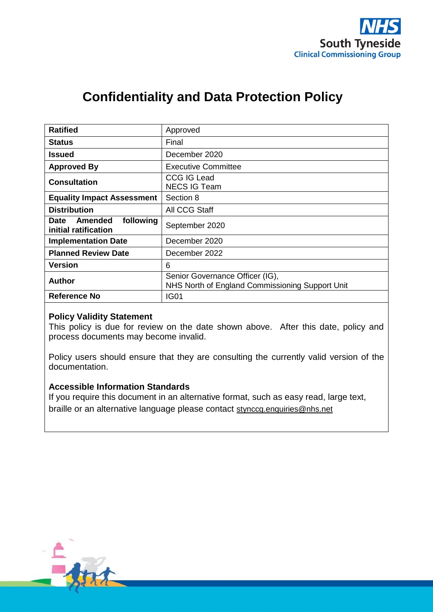

# **Confidentiality and Data Protection Policy**

| <b>Ratified</b>                                             | Approved                                                                           |
|-------------------------------------------------------------|------------------------------------------------------------------------------------|
| <b>Status</b>                                               | Final                                                                              |
| <b>Issued</b>                                               | December 2020                                                                      |
| <b>Approved By</b>                                          | <b>Executive Committee</b>                                                         |
| <b>Consultation</b>                                         | <b>CCG IG Lead</b><br><b>NECS IG Team</b>                                          |
| <b>Equality Impact Assessment</b>                           | Section 8                                                                          |
| <b>Distribution</b>                                         | All CCG Staff                                                                      |
| following<br>Amended<br><b>Date</b><br>initial ratification | September 2020                                                                     |
| <b>Implementation Date</b>                                  | December 2020                                                                      |
| <b>Planned Review Date</b>                                  | December 2022                                                                      |
| Version                                                     | 6                                                                                  |
| <b>Author</b>                                               | Senior Governance Officer (IG),<br>NHS North of England Commissioning Support Unit |
| <b>Reference No</b>                                         | IG01                                                                               |

# **Policy Validity Statement**

This policy is due for review on the date shown above. After this date, policy and process documents may become invalid.

Policy users should ensure that they are consulting the currently valid version of the documentation.

# **Accessible Information Standards**

If you require this document in an alternative format, such as easy read, large text, braille or an alternative language please contact [stynccg.enquiries@nhs.net](mailto:stynccg.enquiries@nhs.net)

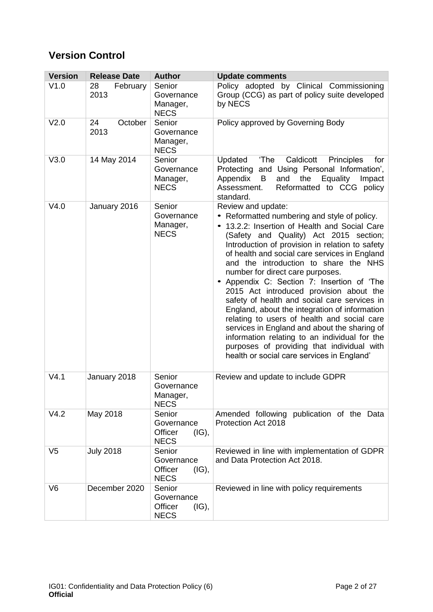# **Version Control**

| <b>Version</b>   | <b>Release Date</b>    | <b>Author</b>                                           | <b>Update comments</b>                                                                                                                                                                                                                                                                                                                                                                                                                                                                                                                                                                                                                                                                                                                                                             |
|------------------|------------------------|---------------------------------------------------------|------------------------------------------------------------------------------------------------------------------------------------------------------------------------------------------------------------------------------------------------------------------------------------------------------------------------------------------------------------------------------------------------------------------------------------------------------------------------------------------------------------------------------------------------------------------------------------------------------------------------------------------------------------------------------------------------------------------------------------------------------------------------------------|
| V1.0             | 28<br>February<br>2013 | Senior<br>Governance<br>Manager,<br><b>NECS</b>         | Policy adopted by Clinical Commissioning<br>Group (CCG) as part of policy suite developed<br>by NECS                                                                                                                                                                                                                                                                                                                                                                                                                                                                                                                                                                                                                                                                               |
| V <sub>2.0</sub> | 24<br>October<br>2013  | Senior<br>Governance<br>Manager,<br><b>NECS</b>         | Policy approved by Governing Body                                                                                                                                                                                                                                                                                                                                                                                                                                                                                                                                                                                                                                                                                                                                                  |
| V3.0             | 14 May 2014            | Senior<br>Governance<br>Manager,<br><b>NECS</b>         | Caldicott<br>Updated<br>'The<br>Principles<br>for<br>and Using Personal Information',<br>Protecting<br>B<br>and<br>the<br>Appendix<br>Equality<br>Impact<br>Assessment.<br>Reformatted to CCG<br>policy<br>standard.                                                                                                                                                                                                                                                                                                                                                                                                                                                                                                                                                               |
| V4.0             | January 2016           | Senior<br>Governance<br>Manager,<br><b>NECS</b>         | Review and update:<br>• Reformatted numbering and style of policy.<br>13.2.2: Insertion of Health and Social Care<br>(Safety and Quality) Act 2015 section;<br>Introduction of provision in relation to safety<br>of health and social care services in England<br>and the introduction to share the NHS<br>number for direct care purposes.<br>• Appendix C: Section 7: Insertion of 'The<br>2015 Act introduced provision about the<br>safety of health and social care services in<br>England, about the integration of information<br>relating to users of health and social care<br>services in England and about the sharing of<br>information relating to an individual for the<br>purposes of providing that individual with<br>health or social care services in England' |
| V4.1             | January 2018           | Senior<br>Governance<br>Manager,<br><b>NECS</b>         | Review and update to include GDPR                                                                                                                                                                                                                                                                                                                                                                                                                                                                                                                                                                                                                                                                                                                                                  |
| V4.2             | May 2018               | Senior<br>Governance<br>Officer<br>(IG),<br><b>NECS</b> | Amended following publication of the Data<br>Protection Act 2018                                                                                                                                                                                                                                                                                                                                                                                                                                                                                                                                                                                                                                                                                                                   |
| V <sub>5</sub>   | <b>July 2018</b>       | Senior<br>Governance<br>Officer<br>(IG),<br><b>NECS</b> | Reviewed in line with implementation of GDPR<br>and Data Protection Act 2018.                                                                                                                                                                                                                                                                                                                                                                                                                                                                                                                                                                                                                                                                                                      |
| V <sub>6</sub>   | December 2020          | Senior<br>Governance<br>Officer<br>(IG),<br><b>NECS</b> | Reviewed in line with policy requirements                                                                                                                                                                                                                                                                                                                                                                                                                                                                                                                                                                                                                                                                                                                                          |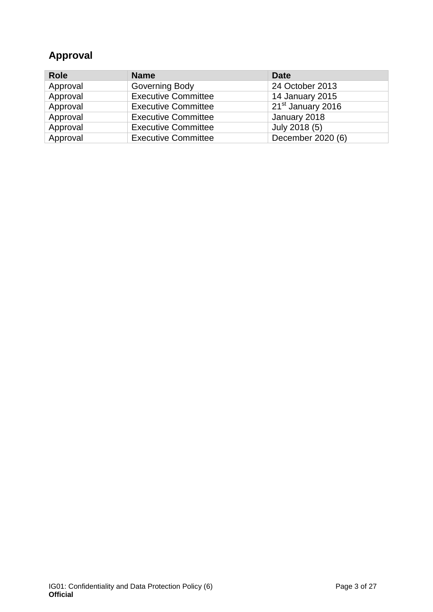# **Approval**

| <b>Role</b> | <b>Name</b>                | <b>Date</b>                   |
|-------------|----------------------------|-------------------------------|
| Approval    | <b>Governing Body</b>      | 24 October 2013               |
| Approval    | <b>Executive Committee</b> | 14 January 2015               |
| Approval    | <b>Executive Committee</b> | 21 <sup>st</sup> January 2016 |
| Approval    | <b>Executive Committee</b> | January 2018                  |
| Approval    | <b>Executive Committee</b> | July 2018 (5)                 |
| Approval    | <b>Executive Committee</b> | December 2020 (6)             |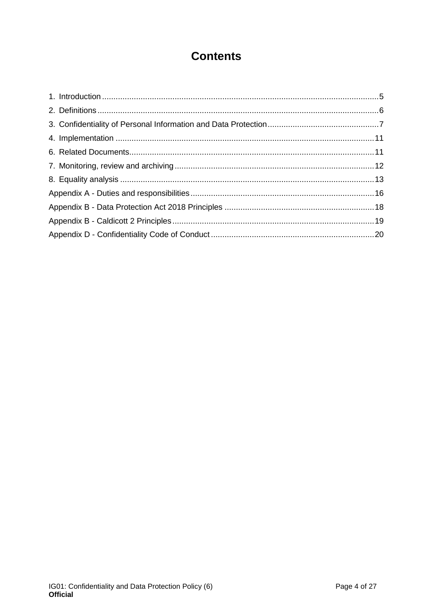# **Contents**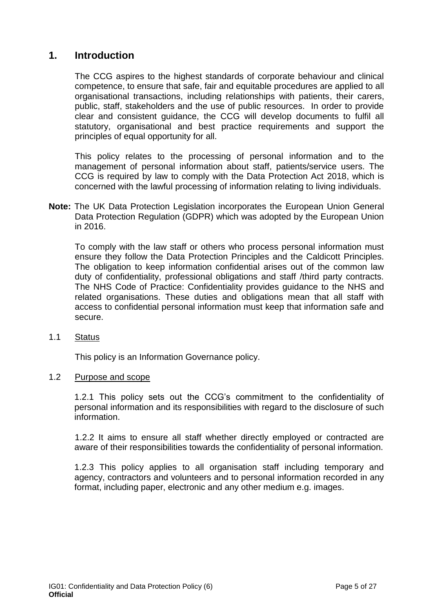# <span id="page-4-0"></span>**1. Introduction**

The CCG aspires to the highest standards of corporate behaviour and clinical competence, to ensure that safe, fair and equitable procedures are applied to all organisational transactions, including relationships with patients, their carers, public, staff, stakeholders and the use of public resources. In order to provide clear and consistent guidance, the CCG will develop documents to fulfil all statutory, organisational and best practice requirements and support the principles of equal opportunity for all.

This policy relates to the processing of personal information and to the management of personal information about staff, patients/service users. The CCG is required by law to comply with the Data Protection Act 2018, which is concerned with the lawful processing of information relating to living individuals.

**Note:** The UK Data Protection Legislation incorporates the European Union General Data Protection Regulation (GDPR) which was adopted by the European Union in 2016.

To comply with the law staff or others who process personal information must ensure they follow the Data Protection Principles and the Caldicott Principles. The obligation to keep information confidential arises out of the common law duty of confidentiality, professional obligations and staff /third party contracts. The NHS Code of Practice: Confidentiality provides guidance to the NHS and related organisations. These duties and obligations mean that all staff with access to confidential personal information must keep that information safe and secure.

1.1 Status

This policy is an Information Governance policy.

#### 1.2 Purpose and scope

1.2.1 This policy sets out the CCG's commitment to the confidentiality of personal information and its responsibilities with regard to the disclosure of such information.

1.2.2 It aims to ensure all staff whether directly employed or contracted are aware of their responsibilities towards the confidentiality of personal information.

1.2.3 This policy applies to all organisation staff including temporary and agency, contractors and volunteers and to personal information recorded in any format, including paper, electronic and any other medium e.g. images.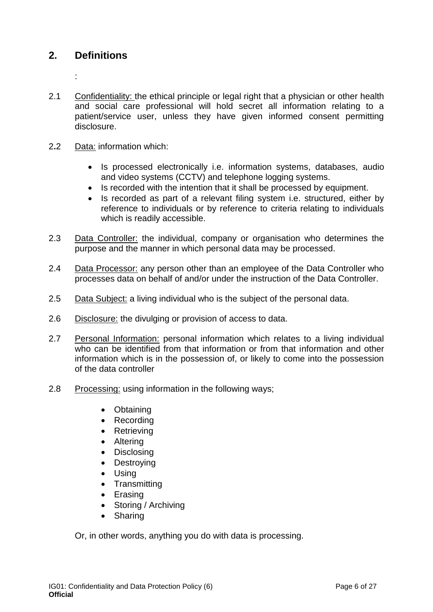# <span id="page-5-0"></span>**2. Definitions**

- :
- 2.1 Confidentiality: the ethical principle or legal right that a physician or other health and social care professional will hold secret all information relating to a patient/service user, unless they have given informed consent permitting disclosure.
- 2**.**2 Data: information which:
	- Is processed electronically i.e. information systems, databases, audio and video systems (CCTV) and telephone logging systems.
	- Is recorded with the intention that it shall be processed by equipment.
	- Is recorded as part of a relevant filing system i.e. structured, either by reference to individuals or by reference to criteria relating to individuals which is readily accessible.
- 2.3 Data Controller: the individual, company or organisation who determines the purpose and the manner in which personal data may be processed.
- 2.4 Data Processor: any person other than an employee of the Data Controller who processes data on behalf of and/or under the instruction of the Data Controller.
- 2.5 Data Subject: a living individual who is the subject of the personal data.
- 2.6 Disclosure: the divulging or provision of access to data.
- 2.7 Personal Information: personal information which relates to a living individual who can be identified from that information or from that information and other information which is in the possession of, or likely to come into the possession of the data controller
- 2.8 Processing: using information in the following ways;
	- Obtaining
	- Recording
	- Retrieving
	- Altering
	- Disclosing
	- Destroving
	- Using
	- Transmitting
	- Erasing
	- Storing / Archiving
	- Sharing

Or, in other words, anything you do with data is processing.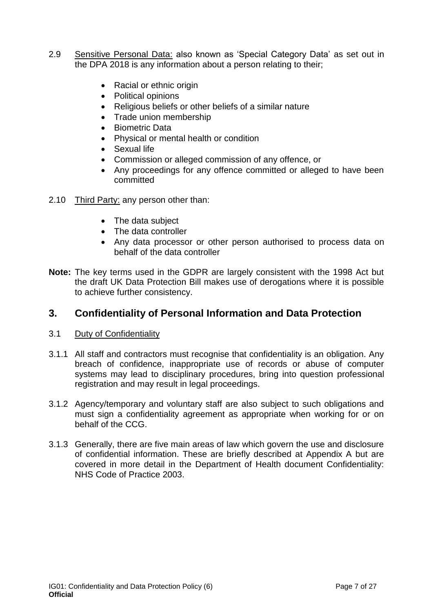- 2.9 Sensitive Personal Data: also known as 'Special Category Data' as set out in the DPA 2018 is any information about a person relating to their;
	- Racial or ethnic origin
	- Political opinions
	- Religious beliefs or other beliefs of a similar nature
	- Trade union membership
	- Biometric Data
	- Physical or mental health or condition
	- Sexual life
	- Commission or alleged commission of any offence, or
	- Any proceedings for any offence committed or alleged to have been committed
- 2.10 Third Party: any person other than:
	- The data subject
	- The data controller
	- Any data processor or other person authorised to process data on behalf of the data controller
- **Note:** The key terms used in the GDPR are largely consistent with the 1998 Act but the draft UK Data Protection Bill makes use of derogations where it is possible to achieve further consistency.

# <span id="page-6-0"></span>**3. Confidentiality of Personal Information and Data Protection**

- 3.1 Duty of Confidentiality
- 3.1.1 All staff and contractors must recognise that confidentiality is an obligation. Any breach of confidence, inappropriate use of records or abuse of computer systems may lead to disciplinary procedures, bring into question professional registration and may result in legal proceedings.
- 3.1.2 Agency/temporary and voluntary staff are also subject to such obligations and must sign a confidentiality agreement as appropriate when working for or on behalf of the CCG.
- 3.1.3 Generally, there are five main areas of law which govern the use and disclosure of confidential information. These are briefly described at Appendix A but are covered in more detail in the Department of Health document Confidentiality: NHS Code of Practice 2003.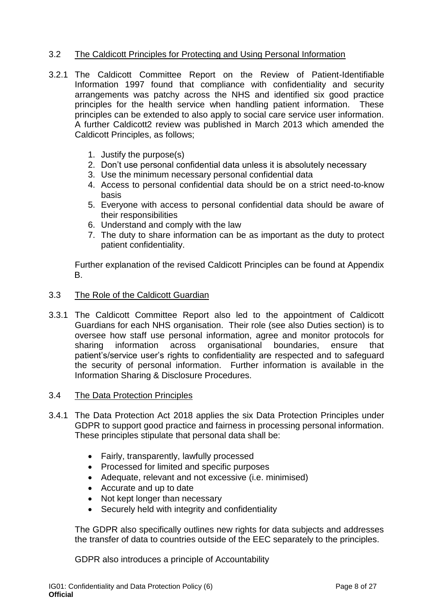# 3.2 The Caldicott Principles for Protecting and Using Personal Information

- 3.2.1 The Caldicott Committee Report on the Review of Patient-Identifiable Information 1997 found that compliance with confidentiality and security arrangements was patchy across the NHS and identified six good practice principles for the health service when handling patient information. These principles can be extended to also apply to social care service user information. A further Caldicott2 review was published in March 2013 which amended the Caldicott Principles, as follows;
	- 1. Justify the purpose(s)
	- 2. Don't use personal confidential data unless it is absolutely necessary
	- 3. Use the minimum necessary personal confidential data
	- 4. Access to personal confidential data should be on a strict need-to-know basis
	- 5. Everyone with access to personal confidential data should be aware of their responsibilities
	- 6. Understand and comply with the law
	- 7. The duty to share information can be as important as the duty to protect patient confidentiality.

Further explanation of the revised Caldicott Principles can be found at Appendix B.

- 3.3 The Role of the Caldicott Guardian
- 3.3.1 The Caldicott Committee Report also led to the appointment of Caldicott Guardians for each NHS organisation. Their role (see also Duties section) is to oversee how staff use personal information, agree and monitor protocols for sharing information across organisational boundaries, ensure that patient's/service user's rights to confidentiality are respected and to safeguard the security of personal information. Further information is available in the Information Sharing & Disclosure Procedures.
- 3.4 The Data Protection Principles
- 3.4.1 The Data Protection Act 2018 applies the six Data Protection Principles under GDPR to support good practice and fairness in processing personal information. These principles stipulate that personal data shall be:
	- Fairly, transparently, lawfully processed
	- Processed for limited and specific purposes
	- Adequate, relevant and not excessive (i.e. minimised)
	- Accurate and up to date
	- Not kept longer than necessary
	- Securely held with integrity and confidentiality

The GDPR also specifically outlines new rights for data subjects and addresses the transfer of data to countries outside of the EEC separately to the principles.

GDPR also introduces a principle of Accountability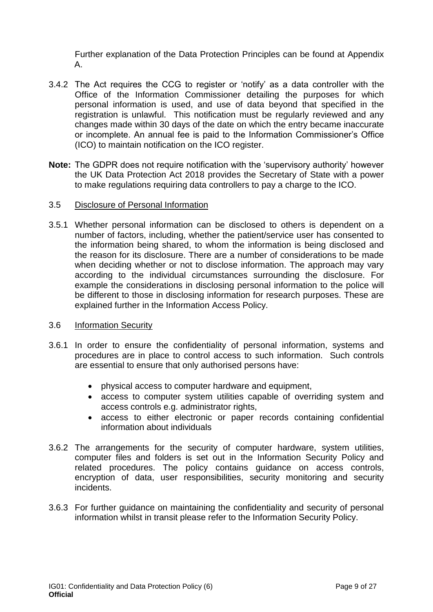Further explanation of the Data Protection Principles can be found at Appendix A.

- 3.4.2 The Act requires the CCG to register or 'notify' as a data controller with the Office of the Information Commissioner detailing the purposes for which personal information is used, and use of data beyond that specified in the registration is unlawful. This notification must be regularly reviewed and any changes made within 30 days of the date on which the entry became inaccurate or incomplete. An annual fee is paid to the Information Commissioner's Office (ICO) to maintain notification on the ICO register.
- **Note:** The GDPR does not require notification with the 'supervisory authority' however the UK Data Protection Act 2018 provides the Secretary of State with a power to make regulations requiring data controllers to pay a charge to the ICO.

#### 3.5 Disclosure of Personal Information

- 3.5.1 Whether personal information can be disclosed to others is dependent on a number of factors, including, whether the patient/service user has consented to the information being shared, to whom the information is being disclosed and the reason for its disclosure. There are a number of considerations to be made when deciding whether or not to disclose information. The approach may vary according to the individual circumstances surrounding the disclosure. For example the considerations in disclosing personal information to the police will be different to those in disclosing information for research purposes. These are explained further in the Information Access Policy.
- 3.6 Information Security
- 3.6.1 In order to ensure the confidentiality of personal information, systems and procedures are in place to control access to such information. Such controls are essential to ensure that only authorised persons have:
	- physical access to computer hardware and equipment,
	- access to computer system utilities capable of overriding system and access controls e.g. administrator rights,
	- access to either electronic or paper records containing confidential information about individuals
- 3.6.2 The arrangements for the security of computer hardware, system utilities, computer files and folders is set out in the Information Security Policy and related procedures. The policy contains guidance on access controls, encryption of data, user responsibilities, security monitoring and security incidents.
- 3.6.3 For further guidance on maintaining the confidentiality and security of personal information whilst in transit please refer to the Information Security Policy.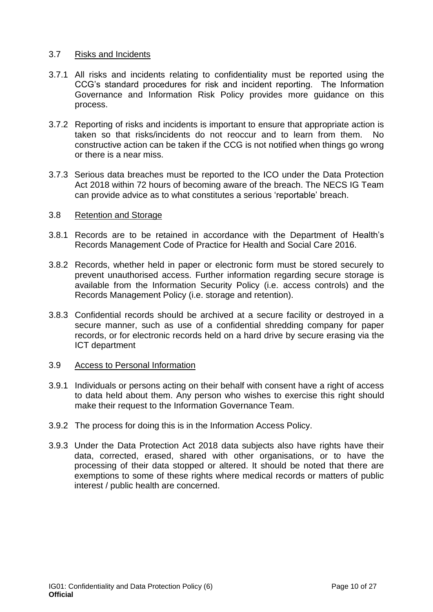# 3.7 Risks and Incidents

- 3.7.1 All risks and incidents relating to confidentiality must be reported using the CCG's standard procedures for risk and incident reporting. The Information Governance and Information Risk Policy provides more guidance on this process.
- 3.7.2 Reporting of risks and incidents is important to ensure that appropriate action is taken so that risks/incidents do not reoccur and to learn from them. No constructive action can be taken if the CCG is not notified when things go wrong or there is a near miss.
- 3.7.3 Serious data breaches must be reported to the ICO under the Data Protection Act 2018 within 72 hours of becoming aware of the breach. The NECS IG Team can provide advice as to what constitutes a serious 'reportable' breach.

#### 3.8 Retention and Storage

- 3.8.1 Records are to be retained in accordance with the Department of Health's Records Management Code of Practice for Health and Social Care 2016.
- 3.8.2 Records, whether held in paper or electronic form must be stored securely to prevent unauthorised access. Further information regarding secure storage is available from the Information Security Policy (i.e. access controls) and the Records Management Policy (i.e. storage and retention).
- 3.8.3 Confidential records should be archived at a secure facility or destroyed in a secure manner, such as use of a confidential shredding company for paper records, or for electronic records held on a hard drive by secure erasing via the ICT department

# 3.9 Access to Personal Information

- 3.9.1 Individuals or persons acting on their behalf with consent have a right of access to data held about them. Any person who wishes to exercise this right should make their request to the Information Governance Team.
- 3.9.2 The process for doing this is in the Information Access Policy.
- 3.9.3 Under the Data Protection Act 2018 data subjects also have rights have their data, corrected, erased, shared with other organisations, or to have the processing of their data stopped or altered. It should be noted that there are exemptions to some of these rights where medical records or matters of public interest / public health are concerned.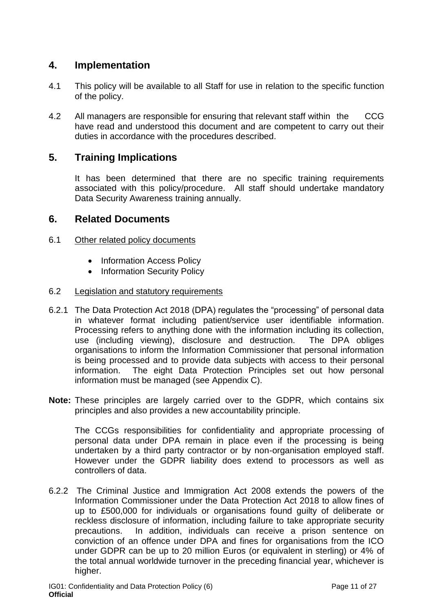# <span id="page-10-0"></span>**4. Implementation**

- 4.1 This policy will be available to all Staff for use in relation to the specific function of the policy.
- 4.2 All managers are responsible for ensuring that relevant staff within the CCG have read and understood this document and are competent to carry out their duties in accordance with the procedures described.

# **5. Training Implications**

It has been determined that there are no specific training requirements associated with this policy/procedure. All staff should undertake mandatory Data Security Awareness training annually.

# <span id="page-10-1"></span>**6. Related Documents**

# 6.1 Other related policy documents

- Information Access Policy
- Information Security Policy

# 6.2 Legislation and statutory requirements

- 6.2.1 The Data Protection Act 2018 (DPA) regulates the "processing" of personal data in whatever format including patient/service user identifiable information. Processing refers to anything done with the information including its collection, use (including viewing), disclosure and destruction. The DPA obliges organisations to inform the Information Commissioner that personal information is being processed and to provide data subjects with access to their personal information. The eight Data Protection Principles set out how personal information must be managed (see Appendix C).
- **Note:** These principles are largely carried over to the GDPR, which contains six principles and also provides a new accountability principle.

The CCGs responsibilities for confidentiality and appropriate processing of personal data under DPA remain in place even if the processing is being undertaken by a third party contractor or by non-organisation employed staff. However under the GDPR liability does extend to processors as well as controllers of data.

6.2.2 The Criminal Justice and Immigration Act 2008 extends the powers of the Information Commissioner under the Data Protection Act 2018 to allow fines of up to £500,000 for individuals or organisations found guilty of deliberate or reckless disclosure of information, including failure to take appropriate security precautions. In addition, individuals can receive a prison sentence on conviction of an offence under DPA and fines for organisations from the ICO under GDPR can be up to 20 million Euros (or equivalent in sterling) or 4% of the total annual worldwide turnover in the preceding financial year, whichever is higher.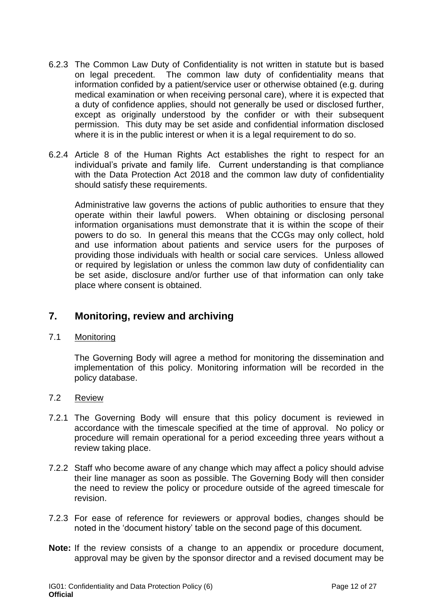- 6.2.3 The Common Law Duty of Confidentiality is not written in statute but is based on legal precedent. The common law duty of confidentiality means that information confided by a patient/service user or otherwise obtained (e.g. during medical examination or when receiving personal care), where it is expected that a duty of confidence applies, should not generally be used or disclosed further, except as originally understood by the confider or with their subsequent permission. This duty may be set aside and confidential information disclosed where it is in the public interest or when it is a legal requirement to do so.
- 6.2.4 Article 8 of the Human Rights Act establishes the right to respect for an individual's private and family life. Current understanding is that compliance with the Data Protection Act 2018 and the common law duty of confidentiality should satisfy these requirements.

Administrative law governs the actions of public authorities to ensure that they operate within their lawful powers. When obtaining or disclosing personal information organisations must demonstrate that it is within the scope of their powers to do so. In general this means that the CCGs may only collect, hold and use information about patients and service users for the purposes of providing those individuals with health or social care services. Unless allowed or required by legislation or unless the common law duty of confidentiality can be set aside, disclosure and/or further use of that information can only take place where consent is obtained.

# <span id="page-11-0"></span>**7. Monitoring, review and archiving**

# 7.1 Monitoring

The Governing Body will agree a method for monitoring the dissemination and implementation of this policy. Monitoring information will be recorded in the policy database.

# 7.2 Review

- 7.2.1 The Governing Body will ensure that this policy document is reviewed in accordance with the timescale specified at the time of approval. No policy or procedure will remain operational for a period exceeding three years without a review taking place.
- 7.2.2 Staff who become aware of any change which may affect a policy should advise their line manager as soon as possible. The Governing Body will then consider the need to review the policy or procedure outside of the agreed timescale for revision.
- 7.2.3 For ease of reference for reviewers or approval bodies, changes should be noted in the 'document history' table on the second page of this document.
- **Note:** If the review consists of a change to an appendix or procedure document, approval may be given by the sponsor director and a revised document may be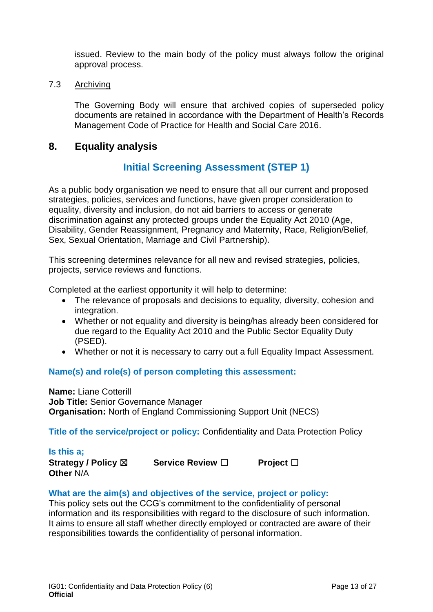issued. Review to the main body of the policy must always follow the original approval process.

7.3 Archiving

The Governing Body will ensure that archived copies of superseded policy documents are retained in accordance with the Department of Health's Records Management Code of Practice for Health and Social Care 2016.

# <span id="page-12-0"></span>**8. Equality analysis**

# **Initial Screening Assessment (STEP 1)**

As a public body organisation we need to ensure that all our current and proposed strategies, policies, services and functions, have given proper consideration to equality, diversity and inclusion, do not aid barriers to access or generate discrimination against any protected groups under the Equality Act 2010 (Age, Disability, Gender Reassignment, Pregnancy and Maternity, Race, Religion/Belief, Sex, Sexual Orientation, Marriage and Civil Partnership).

This screening determines relevance for all new and revised strategies, policies, projects, service reviews and functions.

Completed at the earliest opportunity it will help to determine:

- The relevance of proposals and decisions to equality, diversity, cohesion and integration.
- Whether or not equality and diversity is being/has already been considered for due regard to the Equality Act 2010 and the Public Sector Equality Duty (PSED).
- Whether or not it is necessary to carry out a full Equality Impact Assessment.

# **Name(s) and role(s) of person completing this assessment:**

**Name:** Liane Cotterill **Job Title:** Senior Governance Manager **Organisation:** North of England Commissioning Support Unit (NECS)

**Title of the service/project or policy:** Confidentiality and Data Protection Policy

**Is this a; Strategy / Policy** ☒ **Service Review** ☐ **Project** ☐ **Other** N/A

#### **What are the aim(s) and objectives of the service, project or policy:**

This policy sets out the CCG's commitment to the confidentiality of personal information and its responsibilities with regard to the disclosure of such information. It aims to ensure all staff whether directly employed or contracted are aware of their responsibilities towards the confidentiality of personal information.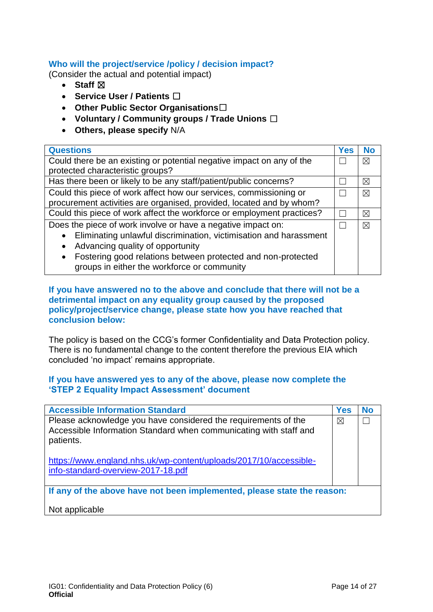# **Who will the project/service /policy / decision impact?**

(Consider the actual and potential impact)

- Staff **⊠**
- **Service User / Patients** ☐
- **Other Public Sector Organisations**☐
- **Voluntary / Community groups / Trade Unions** ☐
- **Others, please specify** N/A

| <b>Questions</b>                                                          | <b>Yes</b> | <b>No</b>   |
|---------------------------------------------------------------------------|------------|-------------|
| Could there be an existing or potential negative impact on any of the     |            |             |
| protected characteristic groups?                                          |            |             |
| Has there been or likely to be any staff/patient/public concerns?         |            | $\boxtimes$ |
| Could this piece of work affect how our services, commissioning or        |            |             |
| procurement activities are organised, provided, located and by whom?      |            |             |
| Could this piece of work affect the workforce or employment practices?    |            |             |
| Does the piece of work involve or have a negative impact on:              |            | $\times$    |
| Eliminating unlawful discrimination, victimisation and harassment         |            |             |
| Advancing quality of opportunity<br>$\bullet$                             |            |             |
| Fostering good relations between protected and non-protected<br>$\bullet$ |            |             |
| groups in either the workforce or community                               |            |             |

# **If you have answered no to the above and conclude that there will not be a detrimental impact on any equality group caused by the proposed policy/project/service change, please state how you have reached that conclusion below:**

The policy is based on the CCG's former Confidentiality and Data Protection policy. There is no fundamental change to the content therefore the previous EIA which concluded 'no impact' remains appropriate.

# **If you have answered yes to any of the above, please now complete the 'STEP 2 Equality Impact Assessment' document**

| <b>Accessible Information Standard</b>                                                                                                           | <b>Yes</b>  | <b>No</b> |
|--------------------------------------------------------------------------------------------------------------------------------------------------|-------------|-----------|
| Please acknowledge you have considered the requirements of the<br>Accessible Information Standard when communicating with staff and<br>patients. | $\boxtimes$ |           |
| https://www.england.nhs.uk/wp-content/uploads/2017/10/accessible-<br>info-standard-overview-2017-18.pdf                                          |             |           |
| If any of the above have not been implemented, please state the reason:                                                                          |             |           |
| Not applicable                                                                                                                                   |             |           |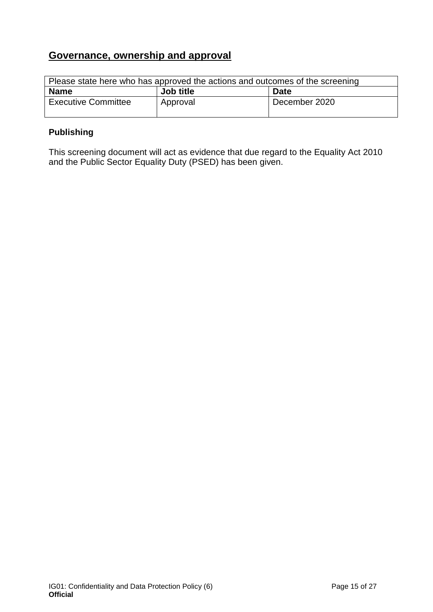# **Governance, ownership and approval**

| Please state here who has approved the actions and outcomes of the screening |           |               |
|------------------------------------------------------------------------------|-----------|---------------|
| <b>Name</b>                                                                  | Job title | <b>Date</b>   |
| <b>Executive Committee</b>                                                   | Approval  | December 2020 |

# **Publishing**

This screening document will act as evidence that due regard to the Equality Act 2010 and the Public Sector Equality Duty (PSED) has been given.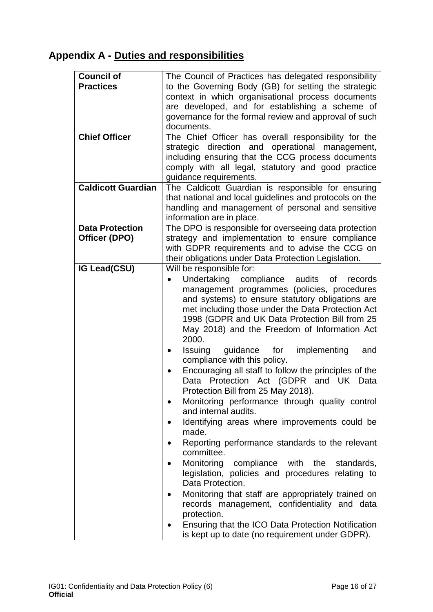# <span id="page-15-0"></span>**Appendix A - Duties and responsibilities**

| <b>Council of</b><br><b>Practices</b><br><b>Chief Officer</b> | The Council of Practices has delegated responsibility<br>to the Governing Body (GB) for setting the strategic<br>context in which organisational process documents<br>are developed, and for establishing a scheme of<br>governance for the formal review and approval of such<br>documents.<br>The Chief Officer has overall responsibility for the<br>strategic direction and operational management,<br>including ensuring that the CCG process documents<br>comply with all legal, statutory and good practice<br>guidance requirements.                                                                                                                                                                                                                                                                                                                                                                                                                                                                                                                                                                                          |
|---------------------------------------------------------------|---------------------------------------------------------------------------------------------------------------------------------------------------------------------------------------------------------------------------------------------------------------------------------------------------------------------------------------------------------------------------------------------------------------------------------------------------------------------------------------------------------------------------------------------------------------------------------------------------------------------------------------------------------------------------------------------------------------------------------------------------------------------------------------------------------------------------------------------------------------------------------------------------------------------------------------------------------------------------------------------------------------------------------------------------------------------------------------------------------------------------------------|
| <b>Caldicott Guardian</b>                                     | The Caldicott Guardian is responsible for ensuring<br>that national and local guidelines and protocols on the<br>handling and management of personal and sensitive<br>information are in place.                                                                                                                                                                                                                                                                                                                                                                                                                                                                                                                                                                                                                                                                                                                                                                                                                                                                                                                                       |
| <b>Data Protection</b><br>Officer (DPO)                       | The DPO is responsible for overseeing data protection<br>strategy and implementation to ensure compliance<br>with GDPR requirements and to advise the CCG on<br>their obligations under Data Protection Legislation.                                                                                                                                                                                                                                                                                                                                                                                                                                                                                                                                                                                                                                                                                                                                                                                                                                                                                                                  |
| IG Lead(CSU)                                                  | Will be responsible for:<br>Undertaking<br>compliance audits<br>records<br>0f<br>management programmes (policies, procedures<br>and systems) to ensure statutory obligations are<br>met including those under the Data Protection Act<br>1998 (GDPR and UK Data Protection Bill from 25<br>May 2018) and the Freedom of Information Act<br>2000.<br>Issuing<br>implementing<br>guidance for<br>and<br>compliance with this policy.<br>Encouraging all staff to follow the principles of the<br>Data Protection Act (GDPR and UK Data<br>Protection Bill from 25 May 2018).<br>Monitoring performance through quality control<br>and internal audits.<br>Identifying areas where improvements could be<br>made.<br>Reporting performance standards to the relevant<br>committee.<br>Monitoring compliance with the<br>standards,<br>legislation, policies and procedures relating to<br>Data Protection.<br>Monitoring that staff are appropriately trained on<br>records management, confidentiality and data<br>protection.<br>Ensuring that the ICO Data Protection Notification<br>is kept up to date (no requirement under GDPR). |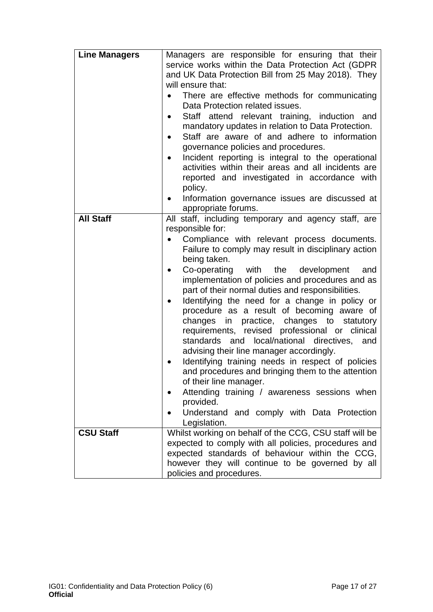| <b>Line Managers</b> | Managers are responsible for ensuring that their           |
|----------------------|------------------------------------------------------------|
|                      | service works within the Data Protection Act (GDPR         |
|                      | and UK Data Protection Bill from 25 May 2018). They        |
|                      | will ensure that:                                          |
|                      | There are effective methods for communicating              |
|                      | Data Protection related issues.                            |
|                      | Staff attend relevant training, induction and<br>$\bullet$ |
|                      | mandatory updates in relation to Data Protection.          |
|                      | Staff are aware of and adhere to information<br>$\bullet$  |
|                      | governance policies and procedures.                        |
|                      | Incident reporting is integral to the operational          |
|                      | activities within their areas and all incidents are        |
|                      | reported and investigated in accordance with               |
|                      | policy.                                                    |
|                      | Information governance issues are discussed at<br>٠        |
|                      | appropriate forums.                                        |
| <b>All Staff</b>     | All staff, including temporary and agency staff, are       |
|                      | responsible for:                                           |
|                      | Compliance with relevant process documents.                |
|                      | Failure to comply may result in disciplinary action        |
|                      | being taken.                                               |
|                      | Co-operating with the development<br>and                   |
|                      | implementation of policies and procedures and as           |
|                      | part of their normal duties and responsibilities.          |
|                      | Identifying the need for a change in policy or             |
|                      | procedure as a result of becoming aware of                 |
|                      | changes in practice, changes to statutory                  |
|                      | requirements, revised professional or clinical             |
|                      | standards and local/national directives, and               |
|                      | advising their line manager accordingly.                   |
|                      | Identifying training needs in respect of policies          |
|                      | and procedures and bringing them to the attention          |
|                      | of their line manager.                                     |
|                      | Attending training / awareness sessions when               |
|                      | provided.                                                  |
|                      | Understand and comply with Data Protection<br>Legislation. |
| <b>CSU Staff</b>     | Whilst working on behalf of the CCG, CSU staff will be     |
|                      | expected to comply with all policies, procedures and       |
|                      | expected standards of behaviour within the CCG,            |
|                      | however they will continue to be governed by all           |
|                      | policies and procedures.                                   |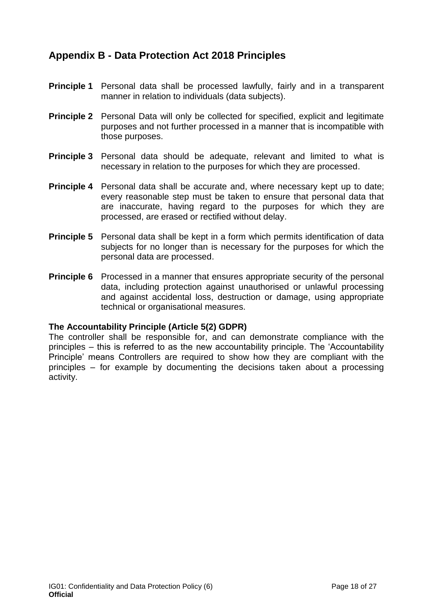# <span id="page-17-0"></span>**Appendix B - Data Protection Act 2018 Principles**

- **Principle 1** Personal data shall be processed lawfully, fairly and in a transparent manner in relation to individuals (data subjects).
- **Principle 2** Personal Data will only be collected for specified, explicit and legitimate purposes and not further processed in a manner that is incompatible with those purposes.
- **Principle 3** Personal data should be adequate, relevant and limited to what is necessary in relation to the purposes for which they are processed.
- **Principle 4** Personal data shall be accurate and, where necessary kept up to date; every reasonable step must be taken to ensure that personal data that are inaccurate, having regard to the purposes for which they are processed, are erased or rectified without delay.
- **Principle 5** Personal data shall be kept in a form which permits identification of data subjects for no longer than is necessary for the purposes for which the personal data are processed.
- **Principle 6** Processed in a manner that ensures appropriate security of the personal data, including protection against unauthorised or unlawful processing and against accidental loss, destruction or damage, using appropriate technical or organisational measures.

# **The Accountability Principle (Article 5(2) GDPR)**

The controller shall be responsible for, and can demonstrate compliance with the principles – this is referred to as the new accountability principle. The 'Accountability Principle' means Controllers are required to show how they are compliant with the principles – for example by documenting the decisions taken about a processing activity.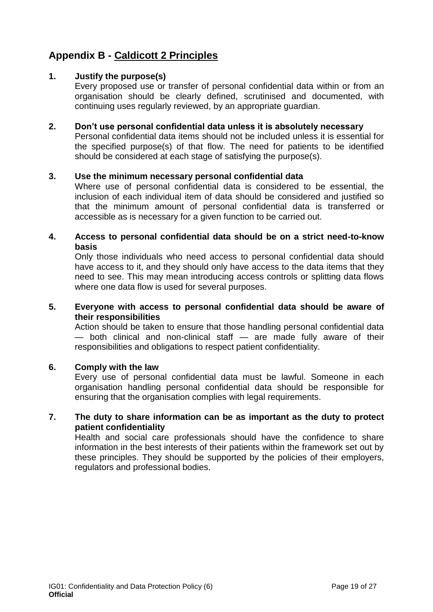# <span id="page-18-0"></span>**Appendix B - Caldicott 2 Principles**

# **1. Justify the purpose(s)**

Every proposed use or transfer of personal confidential data within or from an organisation should be clearly defined, scrutinised and documented, with continuing uses regularly reviewed, by an appropriate guardian.

#### **2. Don't use personal confidential data unless it is absolutely necessary**

Personal confidential data items should not be included unless it is essential for the specified purpose(s) of that flow. The need for patients to be identified should be considered at each stage of satisfying the purpose(s).

#### **3. Use the minimum necessary personal confidential data**

Where use of personal confidential data is considered to be essential, the inclusion of each individual item of data should be considered and justified so that the minimum amount of personal confidential data is transferred or accessible as is necessary for a given function to be carried out.

#### **4. Access to personal confidential data should be on a strict need-to-know basis**

Only those individuals who need access to personal confidential data should have access to it, and they should only have access to the data items that they need to see. This may mean introducing access controls or splitting data flows where one data flow is used for several purposes.

#### **5. Everyone with access to personal confidential data should be aware of their responsibilities**

Action should be taken to ensure that those handling personal confidential data — both clinical and non-clinical staff — are made fully aware of their responsibilities and obligations to respect patient confidentiality.

# **6. Comply with the law**

Every use of personal confidential data must be lawful. Someone in each organisation handling personal confidential data should be responsible for ensuring that the organisation complies with legal requirements.

#### **7. The duty to share information can be as important as the duty to protect patient confidentiality**

Health and social care professionals should have the confidence to share information in the best interests of their patients within the framework set out by these principles. They should be supported by the policies of their employers, regulators and professional bodies.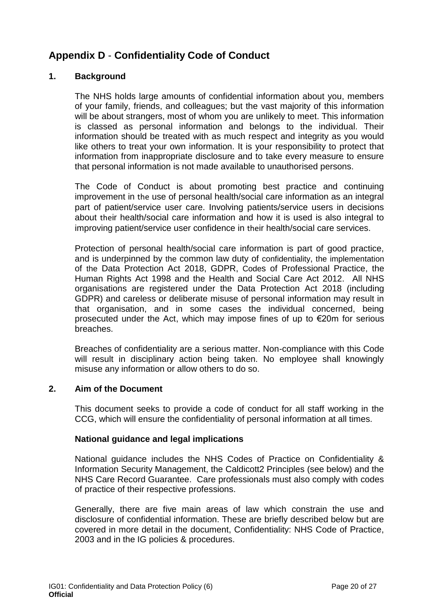# <span id="page-19-0"></span>**Appendix D** - **Confidentiality Code of Conduct**

# **1. Background**

The NHS holds large amounts of confidential information about you, members of your family, friends, and colleagues; but the vast majority of this information will be about strangers, most of whom you are unlikely to meet. This information is classed as personal information and belongs to the individual. Their information should be treated with as much respect and integrity as you would like others to treat your own information. It is your responsibility to protect that information from inappropriate disclosure and to take every measure to ensure that personal information is not made available to unauthorised persons.

The Code of Conduct is about promoting best practice and continuing improvement in the use of personal health/social care information as an integral part of patient/service user care. Involving patients/service users in decisions about their health/social care information and how it is used is also integral to improving patient/service user confidence in their health/social care services.

Protection of personal health/social care information is part of good practice, and is underpinned by the common law duty of confidentiality, the implementation of the Data Protection Act 2018, GDPR, Codes of Professional Practice, the Human Rights Act 1998 and the Health and Social Care Act 2012. All NHS organisations are registered under the Data Protection Act 2018 (including GDPR) and careless or deliberate misuse of personal information may result in that organisation, and in some cases the individual concerned, being prosecuted under the Act, which may impose fines of up to €20m for serious breaches.

Breaches of confidentiality are a serious matter. Non-compliance with this Code will result in disciplinary action being taken. No employee shall knowingly misuse any information or allow others to do so.

# **2. Aim of the Document**

This document seeks to provide a code of conduct for all staff working in the CCG, which will ensure the confidentiality of personal information at all times.

# **National guidance and legal implications**

National guidance includes the NHS Codes of Practice on Confidentiality & Information Security Management, the Caldicott2 Principles (see below) and the NHS Care Record Guarantee. Care professionals must also comply with codes of practice of their respective professions.

Generally, there are five main areas of law which constrain the use and disclosure of confidential information. These are briefly described below but are covered in more detail in the document, Confidentiality: NHS Code of Practice, 2003 and in the IG policies & procedures.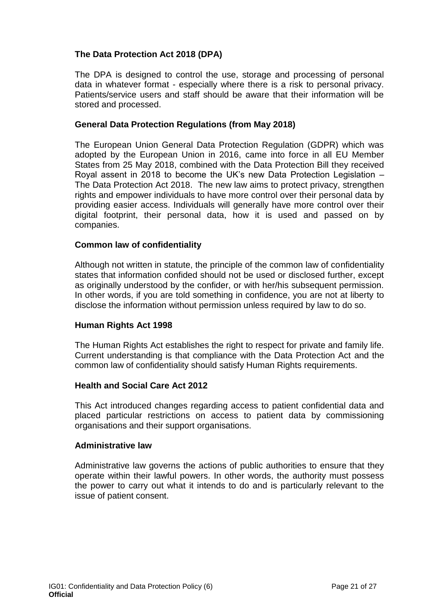# **The Data Protection Act 2018 (DPA)**

The DPA is designed to control the use, storage and processing of personal data in whatever format - especially where there is a risk to personal privacy. Patients/service users and staff should be aware that their information will be stored and processed.

# **General Data Protection Regulations (from May 2018)**

The European Union General Data Protection Regulation (GDPR) which was adopted by the European Union in 2016, came into force in all EU Member States from 25 May 2018, combined with the Data Protection Bill they received Royal assent in 2018 to become the UK's new Data Protection Legislation – The Data Protection Act 2018. The new law aims to protect privacy, strengthen rights and empower individuals to have more control over their personal data by providing easier access. Individuals will generally have more control over their digital footprint, their personal data, how it is used and passed on by companies.

# **Common law of confidentiality**

Although not written in statute, the principle of the common law of confidentiality states that information confided should not be used or disclosed further, except as originally understood by the confider, or with her/his subsequent permission. In other words, if you are told something in confidence, you are not at liberty to disclose the information without permission unless required by law to do so.

# **Human Rights Act 1998**

The Human Rights Act establishes the right to respect for private and family life. Current understanding is that compliance with the Data Protection Act and the common law of confidentiality should satisfy Human Rights requirements.

# **Health and Social Care Act 2012**

This Act introduced changes regarding access to patient confidential data and placed particular restrictions on access to patient data by commissioning organisations and their support organisations.

# **Administrative law**

Administrative law governs the actions of public authorities to ensure that they operate within their lawful powers. In other words, the authority must possess the power to carry out what it intends to do and is particularly relevant to the issue of patient consent.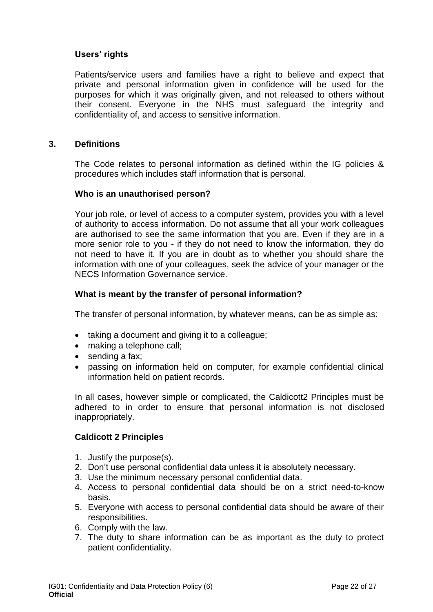# **Users' rights**

Patients/service users and families have a right to believe and expect that private and personal information given in confidence will be used for the purposes for which it was originally given, and not released to others without their consent. Everyone in the NHS must safeguard the integrity and confidentiality of, and access to sensitive information.

# **3. Definitions**

The Code relates to personal information as defined within the IG policies & procedures which includes staff information that is personal.

# **Who is an unauthorised person?**

Your job role, or level of access to a computer system, provides you with a level of authority to access information. Do not assume that all your work colleagues are authorised to see the same information that you are. Even if they are in a more senior role to you - if they do not need to know the information, they do not need to have it. If you are in doubt as to whether you should share the information with one of your colleagues, seek the advice of your manager or the NECS Information Governance service.

# **What is meant by the transfer of personal information?**

The transfer of personal information, by whatever means, can be as simple as:

- taking a document and giving it to a colleague;
- making a telephone call;
- sending a fax;
- passing on information held on computer, for example confidential clinical information held on patient records.

In all cases, however simple or complicated, the Caldicott2 Principles must be adhered to in order to ensure that personal information is not disclosed inappropriately.

# **Caldicott 2 Principles**

- 1. Justify the purpose(s).
- 2. Don't use personal confidential data unless it is absolutely necessary.
- 3. Use the minimum necessary personal confidential data.
- 4. Access to personal confidential data should be on a strict need-to-know basis.
- 5. Everyone with access to personal confidential data should be aware of their responsibilities.
- 6. Comply with the law.
- 7. The duty to share information can be as important as the duty to protect patient confidentiality.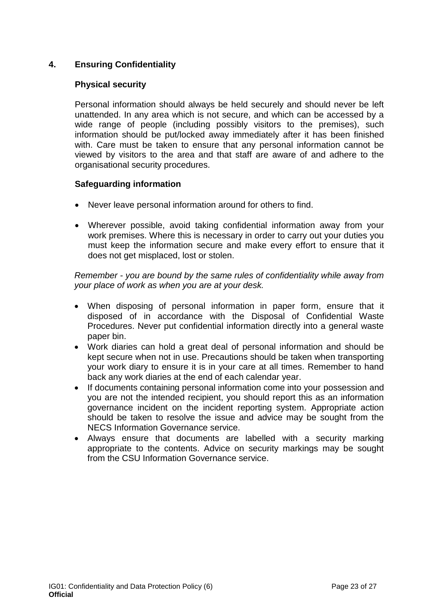# **4. Ensuring Confidentiality**

# **Physical security**

Personal information should always be held securely and should never be left unattended. In any area which is not secure, and which can be accessed by a wide range of people (including possibly visitors to the premises), such information should be put/locked away immediately after it has been finished with. Care must be taken to ensure that any personal information cannot be viewed by visitors to the area and that staff are aware of and adhere to the organisational security procedures.

# **Safeguarding information**

- Never leave personal information around for others to find.
- Wherever possible, avoid taking confidential information away from your work premises. Where this is necessary in order to carry out your duties you must keep the information secure and make every effort to ensure that it does not get misplaced, lost or stolen.

*Remember - you are bound by the same rules of confidentiality while away from your place of work as when you are at your desk.*

- When disposing of personal information in paper form, ensure that it disposed of in accordance with the Disposal of Confidential Waste Procedures. Never put confidential information directly into a general waste paper bin.
- Work diaries can hold a great deal of personal information and should be kept secure when not in use. Precautions should be taken when transporting your work diary to ensure it is in your care at all times. Remember to hand back any work diaries at the end of each calendar year.
- If documents containing personal information come into your possession and you are not the intended recipient, you should report this as an information governance incident on the incident reporting system. Appropriate action should be taken to resolve the issue and advice may be sought from the NECS Information Governance service.
- Always ensure that documents are labelled with a security marking appropriate to the contents. Advice on security markings may be sought from the CSU Information Governance service.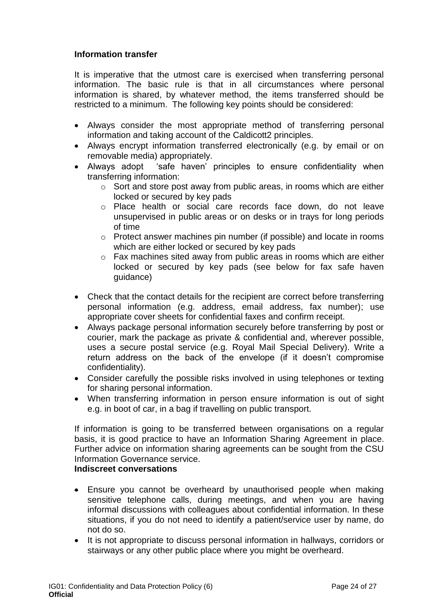# **Information transfer**

It is imperative that the utmost care is exercised when transferring personal information. The basic rule is that in all circumstances where personal information is shared, by whatever method, the items transferred should be restricted to a minimum. The following key points should be considered:

- Always consider the most appropriate method of transferring personal information and taking account of the Caldicott2 principles.
- Always encrypt information transferred electronically (e.g. by email or on removable media) appropriately.
- Always adopt 'safe haven' principles to ensure confidentiality when transferring information:
	- o Sort and store post away from public areas, in rooms which are either locked or secured by key pads
	- o Place health or social care records face down, do not leave unsupervised in public areas or on desks or in trays for long periods of time
	- o Protect answer machines pin number (if possible) and locate in rooms which are either locked or secured by key pads
	- o Fax machines sited away from public areas in rooms which are either locked or secured by key pads (see below for fax safe haven guidance)
- Check that the contact details for the recipient are correct before transferring personal information (e.g. address, email address, fax number); use appropriate cover sheets for confidential faxes and confirm receipt.
- Always package personal information securely before transferring by post or courier, mark the package as private & confidential and, wherever possible, uses a secure postal service (e.g. Royal Mail Special Delivery). Write a return address on the back of the envelope (if it doesn't compromise confidentiality).
- Consider carefully the possible risks involved in using telephones or texting for sharing personal information.
- When transferring information in person ensure information is out of sight e.g. in boot of car, in a bag if travelling on public transport.

If information is going to be transferred between organisations on a regular basis, it is good practice to have an Information Sharing Agreement in place. Further advice on information sharing agreements can be sought from the CSU Information Governance service.

# **Indiscreet conversations**

- Ensure you cannot be overheard by unauthorised people when making sensitive telephone calls, during meetings, and when you are having informal discussions with colleagues about confidential information. In these situations, if you do not need to identify a patient/service user by name, do not do so.
- It is not appropriate to discuss personal information in hallways, corridors or stairways or any other public place where you might be overheard.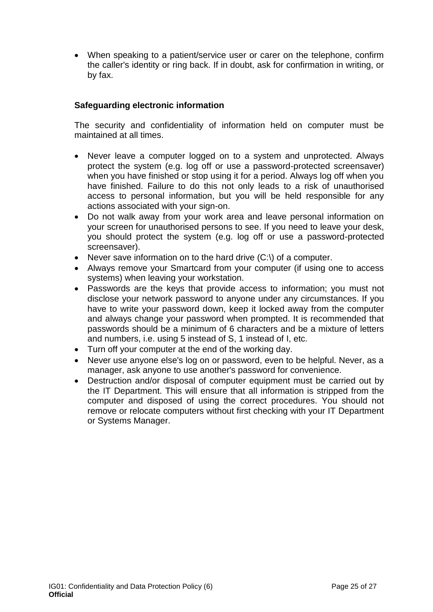When speaking to a patient/service user or carer on the telephone, confirm the caller's identity or ring back. If in doubt, ask for confirmation in writing, or by fax.

# **Safeguarding electronic information**

The security and confidentiality of information held on computer must be maintained at all times.

- Never leave a computer logged on to a system and unprotected. Always protect the system (e.g. log off or use a password-protected screensaver) when you have finished or stop using it for a period. Always log off when you have finished. Failure to do this not only leads to a risk of unauthorised access to personal information, but you will be held responsible for any actions associated with your sign-on.
- Do not walk away from your work area and leave personal information on your screen for unauthorised persons to see. If you need to leave your desk, you should protect the system (e.g. log off or use a password-protected screensaver).
- Never save information on to the hard drive  $(C:\)$  of a computer.
- Always remove your Smartcard from your computer (if using one to access systems) when leaving your workstation.
- Passwords are the keys that provide access to information; you must not disclose your network password to anyone under any circumstances. If you have to write your password down, keep it locked away from the computer and always change your password when prompted. It is recommended that passwords should be a minimum of 6 characters and be a mixture of letters and numbers, i.e. using 5 instead of S, 1 instead of I, etc.
- Turn off your computer at the end of the working day.
- Never use anyone else's log on or password, even to be helpful. Never, as a manager, ask anyone to use another's password for convenience.
- Destruction and/or disposal of computer equipment must be carried out by the IT Department. This will ensure that all information is stripped from the computer and disposed of using the correct procedures. You should not remove or relocate computers without first checking with your IT Department or Systems Manager.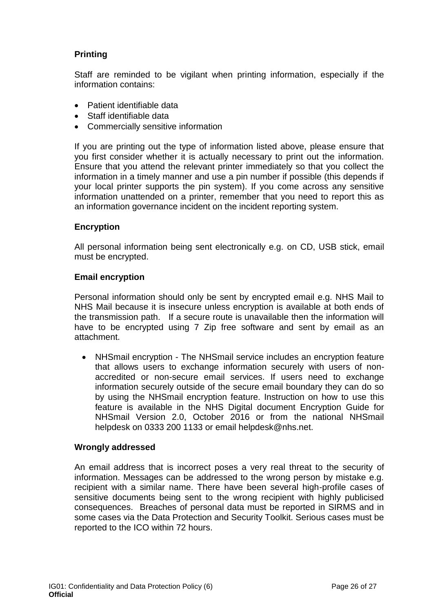# **Printing**

Staff are reminded to be vigilant when printing information, especially if the information contains:

- Patient identifiable data
- Staff identifiable data
- Commercially sensitive information

If you are printing out the type of information listed above, please ensure that you first consider whether it is actually necessary to print out the information. Ensure that you attend the relevant printer immediately so that you collect the information in a timely manner and use a pin number if possible (this depends if your local printer supports the pin system). If you come across any sensitive information unattended on a printer, remember that you need to report this as an information governance incident on the incident reporting system.

# **Encryption**

All personal information being sent electronically e.g. on CD, USB stick, email must be encrypted.

# **Email encryption**

Personal information should only be sent by encrypted email e.g. NHS Mail to NHS Mail because it is insecure unless encryption is available at both ends of the transmission path. If a secure route is unavailable then the information will have to be encrypted using 7 Zip free software and sent by email as an attachment.

 NHSmail encryption - The NHSmail service includes an encryption feature that allows users to exchange information securely with users of nonaccredited or non-secure email services. If users need to exchange information securely outside of the secure email boundary they can do so by using the NHSmail encryption feature. Instruction on how to use this feature is available in the NHS Digital document Encryption Guide for NHSmail Version 2.0, October 2016 or from the national NHSmail helpdesk on 0333 200 1133 or email helpdesk@nhs.net.

# **Wrongly addressed**

An email address that is incorrect poses a very real threat to the security of information. Messages can be addressed to the wrong person by mistake e.g. recipient with a similar name. There have been several high-profile cases of sensitive documents being sent to the wrong recipient with highly publicised consequences. Breaches of personal data must be reported in SIRMS and in some cases via the Data Protection and Security Toolkit. Serious cases must be reported to the ICO within 72 hours.